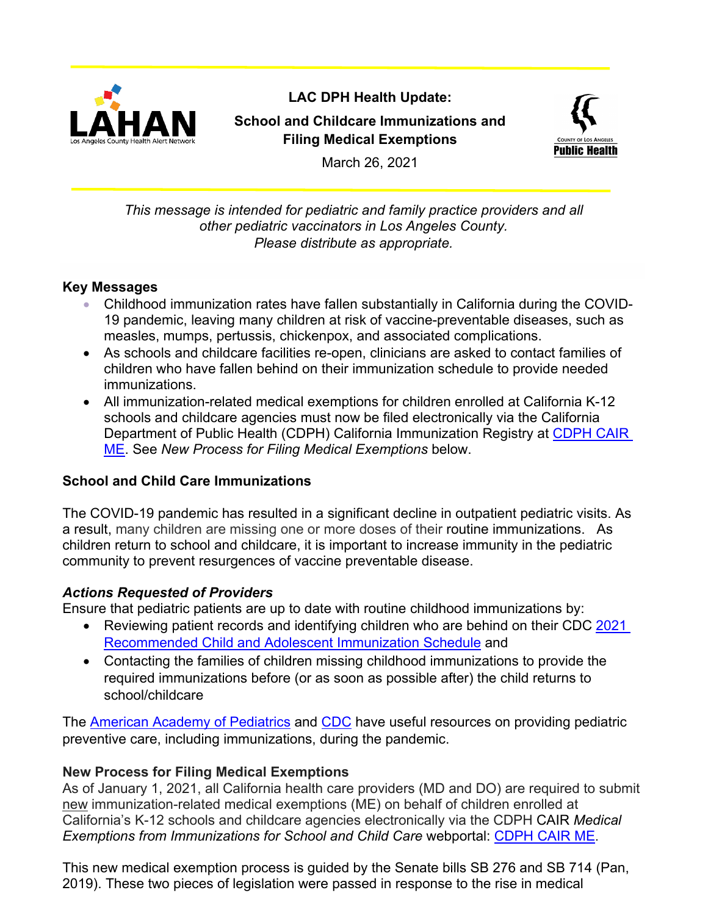

# **LAC DPH Health Update: School and Childcare Immunizations and Filing Medical Exemptions**



March 26, 2021

#### *This message is intended for pediatric and family practice providers and all other pediatric vaccinators in Los Angeles County. Please distribute as appropriate.*

## **Key Messages**

- Childhood immunization rates have fallen substantially in California during the COVID-19 pandemic, leaving many children at risk of vaccine-preventable diseases, such as measles, mumps, pertussis, chickenpox, and associated complications.
- As schools and childcare facilities re-open, clinicians are asked to contact families of children who have fallen behind on their immunization schedule to provide needed immunizations.
- All immunization-related medical exemptions for children enrolled at California K-12 schools and childcare agencies must now be filed electronically via the California Department of Public Health (CDPH) California Immunization Registry at [CDPH CAIR](https://cair.cdph.ca.gov/exemptions/home)  [ME.](https://cair.cdph.ca.gov/exemptions/home) See *New Process for Filing Medical Exemptions* below.

# **School and Child Care Immunizations**

The COVID-19 pandemic has resulted in a significant decline in outpatient pediatric visits. As a result, many children are missing one or more doses of their [routine immunizations.](about:blank) As children return to school and childcare, it is important to increase immunity in the pediatric community to prevent resurgences of vaccine preventable disease.

## *Actions Requested of Providers*

Ensure that pediatric patients are up to date with routine childhood immunizations by:

- Reviewing patient records and identifying children who are behind on their CDC 2021 [Recommended Child and Adolescent Immunization Schedule](https://www.cdc.gov/vaccines/schedules/downloads/child/0-18yrs-child-combined-schedule.pdf) and
- Contacting the families of children missing childhood immunizations to provide the required immunizations before (or as soon as possible after) the child returns to school/childcare

The [American Academy of Pediatrics](https://services.aap.org/en/pages/2019-novel-coronavirus-covid-19-infections/clinical-guidance/guidance-on-providing-pediatric-well-care-during-covid-19/) and [CDC](https://www.cdc.gov/vaccines/pandemic-guidance/index.html) have useful resources on providing pediatric preventive care, including immunizations, during the pandemic.

# **New Process for Filing Medical Exemptions**

As of January 1, 2021, all California health care providers (MD and DO) are required to submit new immunization-related medical exemptions (ME) on behalf of children enrolled at California's K-12 schools and childcare agencies electronically via the CDPH CAIR *Medical Exemptions from Immunizations for School and Child Care* webportal: [CDPH CAIR ME.](https://cair.cdph.ca.gov/exemptions/home)

This new medical exemption process is guided by the Senate bills SB 276 and SB 714 (Pan, 2019). These two pieces of legislation were passed in response to the rise in medical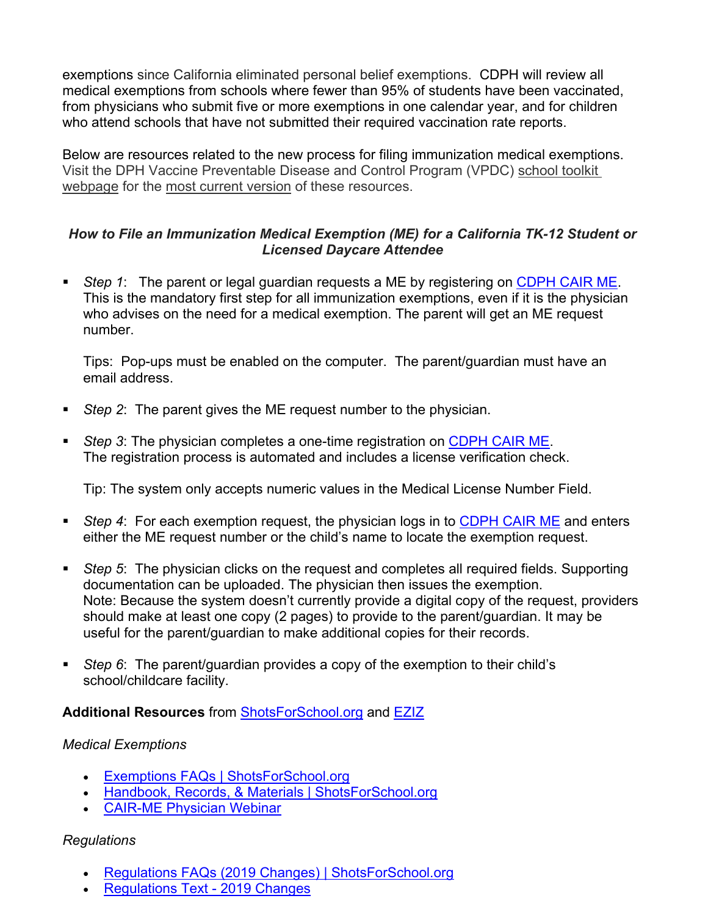exemptions since California eliminated personal belief exemptions. CDPH will review all medical exemptions from schools where fewer than 95% of students have been vaccinated, from physicians who submit five or more exemptions in one calendar year, and for children who attend schools that have not submitted their required vaccination rate reports.

Below are resources related to the new process for filing immunization medical exemptions. Visit the DPH Vaccine Preventable Disease and Control Program (VPDC) [school toolkit](http://publichealth.lacounty.gov/ip/SchoolToolKit.htm)  [webpage](http://publichealth.lacounty.gov/ip/SchoolToolKit.htm) for the [most current version](http://publichealth.lacounty.gov/ip/Docs/MedicalExemptions/ME%20Instructions%20for%20VPDCP_%203.19.2021.pdf) of these resources.

#### *How to File an Immunization Medical Exemption (ME) for a California TK-12 Student or Licensed Daycare Attendee*

 *Step 1*: The parent or legal guardian requests a ME by registering on [CDPH CAIR ME.](https://cair.cdph.ca.gov/exemptions/home) This is the mandatory first step for all immunization exemptions, even if it is the physician who advises on the need for a medical exemption. The parent will get an ME request number.

Tips: Pop-ups must be enabled on the computer. The parent/guardian must have an email address.

- *Step 2*: The parent gives the ME request number to the physician.
- *Step 3*: The physician completes a one-time registration on [CDPH CAIR ME.](https://cair.cdph.ca.gov/exemptions/home) The registration process is automated and includes a license verification check.

Tip: The system only accepts numeric values in the Medical License Number Field.

- *Step 4*: For each exemption request, the physician logs in to [CDPH CAIR ME](https://cair.cdph.ca.gov/exemptions/home) and enters either the ME request number or the child's name to locate the exemption request.
- **Step 5:** The physician clicks on the request and completes all required fields. Supporting documentation can be uploaded. The physician then issues the exemption. Note: Because the system doesn't currently provide a digital copy of the request, providers should make at least one copy (2 pages) to provide to the parent/guardian. It may be useful for the parent/guardian to make additional copies for their records.
- *Step 6*: The parent/guardian provides a copy of the exemption to their child's school/childcare facility.

## **Additional Resources** from [ShotsForSchool.org](https://www.shotsforschool.org/) and [EZIZ](https://eziz.org/)

#### *Medical Exemptions*

- [Exemptions FAQs | ShotsForSchool.org](https://www.shotsforschool.org/laws/exemptions/)
- [Handbook, Records, & Materials | ShotsForSchool.org](https://www.shotsforschool.org/laws/records-forms/)
- [CAIR-ME Physician Webinar](https://www.youtube.com/watch?v=0QsIDH1FeII)

## *Regulations*

- [Regulations FAQs \(2019 Changes\) | ShotsForSchool.org](https://www.shotsforschool.org/laws/regs2019/)
- [Regulations Text -](https://eziz.org/assets/docs/IMM-1080.pdf) 2019 Changes